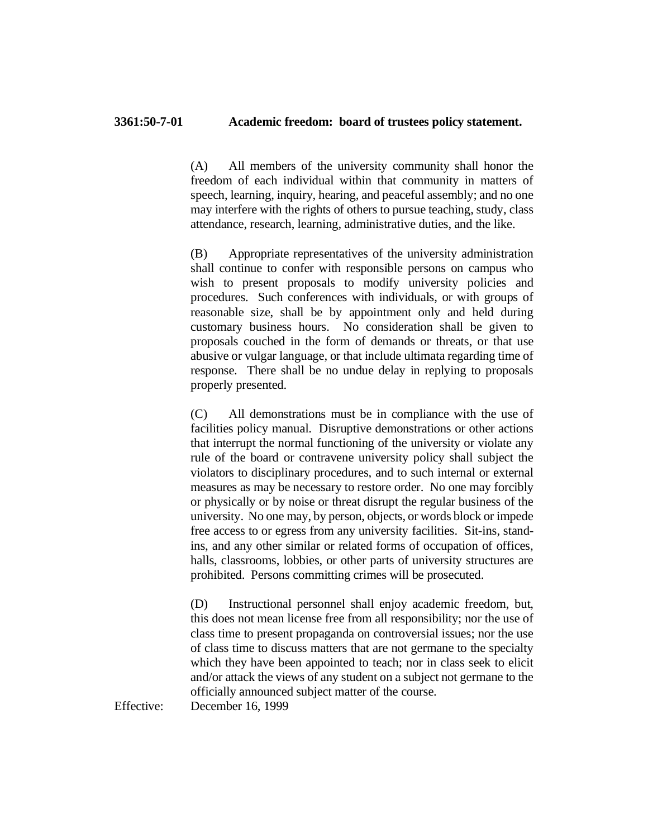(A) All members of the university community shall honor the freedom of each individual within that community in matters of speech, learning, inquiry, hearing, and peaceful assembly; and no one may interfere with the rights of others to pursue teaching, study, class attendance, research, learning, administrative duties, and the like.

(B) Appropriate representatives of the university administration shall continue to confer with responsible persons on campus who wish to present proposals to modify university policies and procedures. Such conferences with individuals, or with groups of reasonable size, shall be by appointment only and held during customary business hours. No consideration shall be given to proposals couched in the form of demands or threats, or that use abusive or vulgar language, or that include ultimata regarding time of response. There shall be no undue delay in replying to proposals properly presented.

(C) All demonstrations must be in compliance with the use of facilities policy manual. Disruptive demonstrations or other actions that interrupt the normal functioning of the university or violate any rule of the board or contravene university policy shall subject the violators to disciplinary procedures, and to such internal or external measures as may be necessary to restore order. No one may forcibly or physically or by noise or threat disrupt the regular business of the university. No one may, by person, objects, or words block or impede free access to or egress from any university facilities. Sit-ins, standins, and any other similar or related forms of occupation of offices, halls, classrooms, lobbies, or other parts of university structures are prohibited. Persons committing crimes will be prosecuted.

(D) Instructional personnel shall enjoy academic freedom, but, this does not mean license free from all responsibility; nor the use of class time to present propaganda on controversial issues; nor the use of class time to discuss matters that are not germane to the specialty which they have been appointed to teach; nor in class seek to elicit and/or attack the views of any student on a subject not germane to the officially announced subject matter of the course.

Effective: December 16, 1999